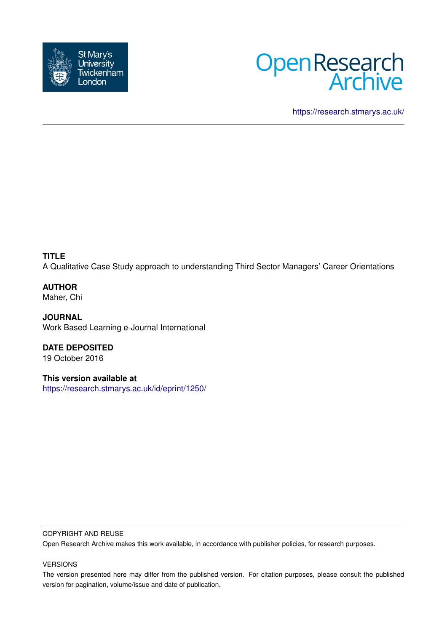



<https://research.stmarys.ac.uk/>

**TITLE** A Qualitative Case Study approach to understanding Third Sector Managers' Career Orientations

**AUTHOR** Maher, Chi

**JOURNAL** Work Based Learning e-Journal International

**DATE DEPOSITED** 19 October 2016

**This version available at** <https://research.stmarys.ac.uk/id/eprint/1250/>

### COPYRIGHT AND REUSE

Open Research Archive makes this work available, in accordance with publisher policies, for research purposes.

## VERSIONS

The version presented here may differ from the published version. For citation purposes, please consult the published version for pagination, volume/issue and date of publication.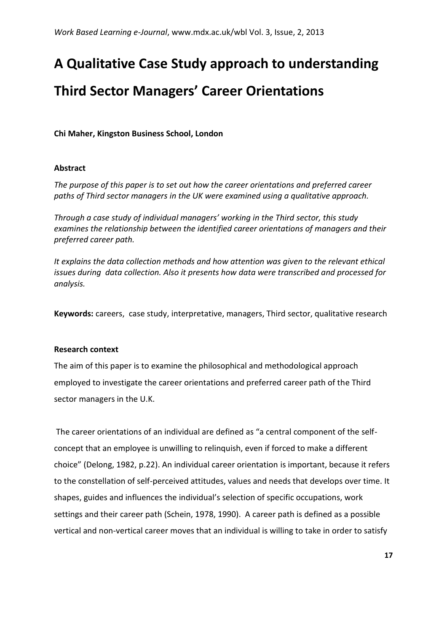# **A Qualitative Case Study approach to understanding**

# **Third Sector Managers' Career Orientations**

**Chi Maher, Kingston Business School, London**

# **Abstract**

*The purpose of this paper is to set out how the career orientations and preferred career paths of Third sector managers in the UK were examined using a qualitative approach.*

*Through a case study of individual managers' working in the Third sector, this study examines the relationship between the identified career orientations of managers and their preferred career path.*

*It explains the data collection methods and how attention was given to the relevant ethical issues during data collection. Also it presents how data were transcribed and processed for analysis.*

**Keywords:** careers, case study, interpretative, managers, Third sector, qualitative research

# **Research context**

The aim of this paper is to examine the philosophical and methodological approach employed to investigate the career orientations and preferred career path of the Third sector managers in the U.K.

The career orientations of an individual are defined as "a central component of the selfconcept that an employee is unwilling to relinquish, even if forced to make a different choice" (Delong, 1982, p.22). An individual career orientation is important, because it refers to the constellation of self-perceived attitudes, values and needs that develops over time. It shapes, guides and influences the individual's selection of specific occupations, work settings and their career path (Schein, 1978, 1990). A career path is defined as a possible vertical and non-vertical career moves that an individual is willing to take in order to satisfy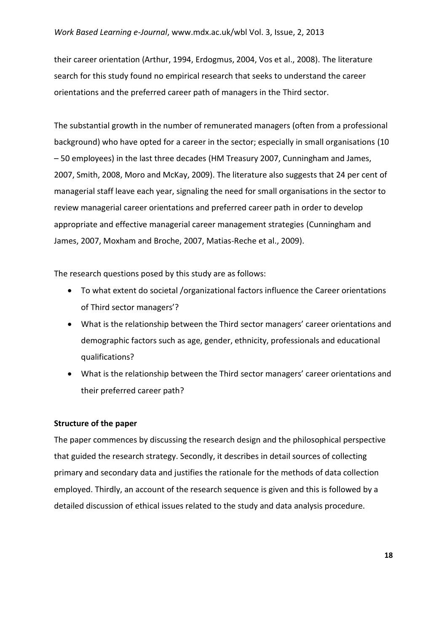their career orientation (Arthur, 1994, Erdogmus, 2004, Vos et al., 2008). The literature search for this study found no empirical research that seeks to understand the career orientations and the preferred career path of managers in the Third sector.

The substantial growth in the number of remunerated managers (often from a professional background) who have opted for a career in the sector; especially in small organisations (10 – 50 employees) in the last three decades (HM Treasury 2007, Cunningham and James, 2007, Smith, 2008, Moro and McKay, 2009). The literature also suggests that 24 per cent of managerial staff leave each year, signaling the need for small organisations in the sector to review managerial career orientations and preferred career path in order to develop appropriate and effective managerial career management strategies (Cunningham and James, 2007, Moxham and Broche, 2007, Matias-Reche et al., 2009).

The research questions posed by this study are as follows:

- To what extent do societal /organizational factors influence the Career orientations of Third sector managers'?
- What is the relationship between the Third sector managers' career orientations and demographic factors such as age, gender, ethnicity, professionals and educational qualifications?
- What is the relationship between the Third sector managers' career orientations and their preferred career path?

# **Structure of the paper**

The paper commences by discussing the research design and the philosophical perspective that guided the research strategy. Secondly, it describes in detail sources of collecting primary and secondary data and justifies the rationale for the methods of data collection employed. Thirdly, an account of the research sequence is given and this is followed by a detailed discussion of ethical issues related to the study and data analysis procedure.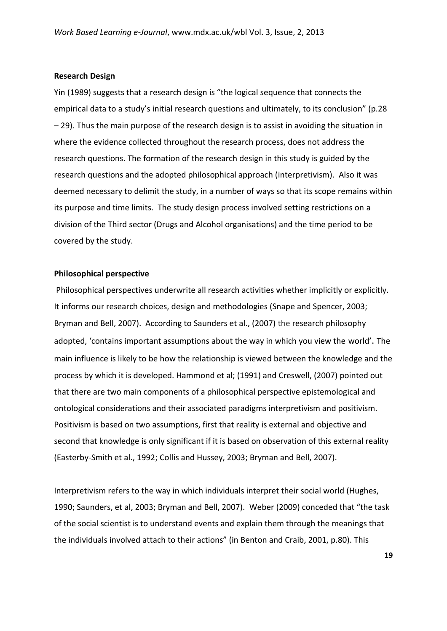#### **Research Design**

Yin (1989) suggests that a research design is "the logical sequence that connects the empirical data to a study's initial research questions and ultimately, to its conclusion" (p.28 – 29). Thus the main purpose of the research design is to assist in avoiding the situation in where the evidence collected throughout the research process, does not address the research questions. The formation of the research design in this study is guided by the research questions and the adopted philosophical approach (interpretivism). Also it was deemed necessary to delimit the study, in a number of ways so that its scope remains within its purpose and time limits. The study design process involved setting restrictions on a division of the Third sector (Drugs and Alcohol organisations) and the time period to be covered by the study.

#### **Philosophical perspective**

Philosophical perspectives underwrite all research activities whether implicitly or explicitly. It informs our research choices, design and methodologies (Snape and Spencer, 2003; Bryman and Bell, 2007). According to Saunders et al., (2007) the research philosophy adopted, 'contains important assumptions about the way in which you view the world'. The main influence is likely to be how the relationship is viewed between the knowledge and the process by which it is developed. Hammond et al; (1991) and Creswell, (2007) pointed out that there are two main components of a philosophical perspective epistemological and ontological considerations and their associated paradigms interpretivism and positivism. Positivism is based on two assumptions, first that reality is external and objective and second that knowledge is only significant if it is based on observation of this external reality (Easterby-Smith et al., 1992; Collis and Hussey, 2003; Bryman and Bell, 2007).

Interpretivism refers to the way in which individuals interpret their social world (Hughes, 1990; Saunders, et al, 2003; Bryman and Bell, 2007). Weber (2009) conceded that "the task of the social scientist is to understand events and explain them through the meanings that the individuals involved attach to their actions" (in Benton and Craib, 2001, p.80). This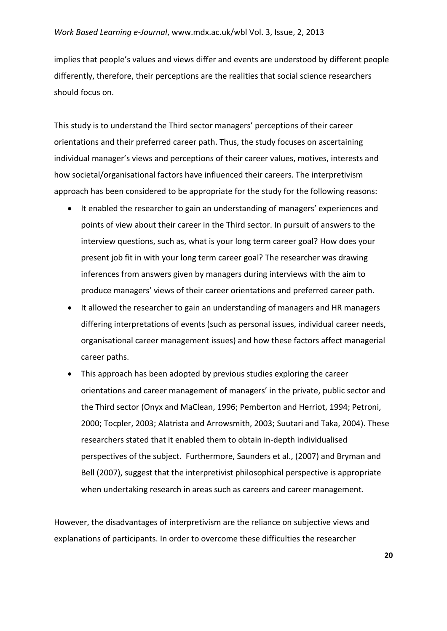implies that people's values and views differ and events are understood by different people differently, therefore, their perceptions are the realities that social science researchers should focus on.

This study is to understand the Third sector managers' perceptions of their career orientations and their preferred career path. Thus, the study focuses on ascertaining individual manager's views and perceptions of their career values, motives, interests and how societal/organisational factors have influenced their careers. The interpretivism approach has been considered to be appropriate for the study for the following reasons:

- It enabled the researcher to gain an understanding of managers' experiences and points of view about their career in the Third sector. In pursuit of answers to the interview questions, such as, what is your long term career goal? How does your present job fit in with your long term career goal? The researcher was drawing inferences from answers given by managers during interviews with the aim to produce managers' views of their career orientations and preferred career path.
- It allowed the researcher to gain an understanding of managers and HR managers differing interpretations of events (such as personal issues, individual career needs, organisational career management issues) and how these factors affect managerial career paths.
- This approach has been adopted by previous studies exploring the career orientations and career management of managers' in the private, public sector and the Third sector (Onyx and MaClean, 1996; Pemberton and Herriot, 1994; Petroni, 2000; Tocpler, 2003; Alatrista and Arrowsmith, 2003; Suutari and Taka, 2004). These researchers stated that it enabled them to obtain in-depth individualised perspectives of the subject. Furthermore, Saunders et al., (2007) and Bryman and Bell (2007), suggest that the interpretivist philosophical perspective is appropriate when undertaking research in areas such as careers and career management.

However, the disadvantages of interpretivism are the reliance on subjective views and explanations of participants. In order to overcome these difficulties the researcher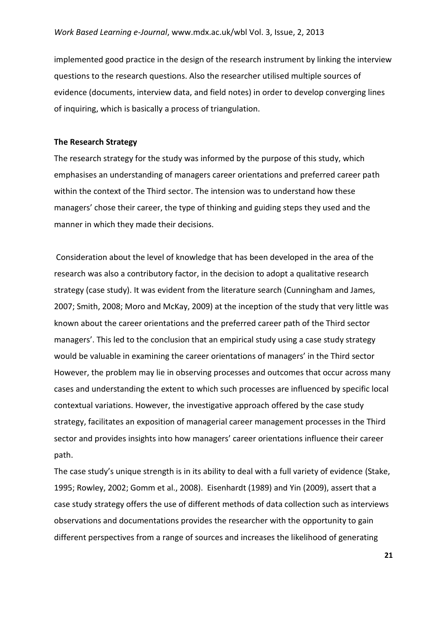implemented good practice in the design of the research instrument by linking the interview questions to the research questions. Also the researcher utilised multiple sources of evidence (documents, interview data, and field notes) in order to develop converging lines of inquiring, which is basically a process of triangulation.

#### **The Research Strategy**

The research strategy for the study was informed by the purpose of this study, which emphasises an understanding of managers career orientations and preferred career path within the context of the Third sector. The intension was to understand how these managers' chose their career, the type of thinking and guiding steps they used and the manner in which they made their decisions.

Consideration about the level of knowledge that has been developed in the area of the research was also a contributory factor, in the decision to adopt a qualitative research strategy (case study). It was evident from the literature search (Cunningham and James, 2007; Smith, 2008; Moro and McKay, 2009) at the inception of the study that very little was known about the career orientations and the preferred career path of the Third sector managers'. This led to the conclusion that an empirical study using a case study strategy would be valuable in examining the career orientations of managers' in the Third sector However, the problem may lie in observing processes and outcomes that occur across many cases and understanding the extent to which such processes are influenced by specific local contextual variations. However, the investigative approach offered by the case study strategy, facilitates an exposition of managerial career management processes in the Third sector and provides insights into how managers' career orientations influence their career path.

The case study's unique strength is in its ability to deal with a full variety of evidence (Stake, 1995; Rowley, 2002; Gomm et al., 2008). Eisenhardt (1989) and Yin (2009), assert that a case study strategy offers the use of different methods of data collection such as interviews observations and documentations provides the researcher with the opportunity to gain different perspectives from a range of sources and increases the likelihood of generating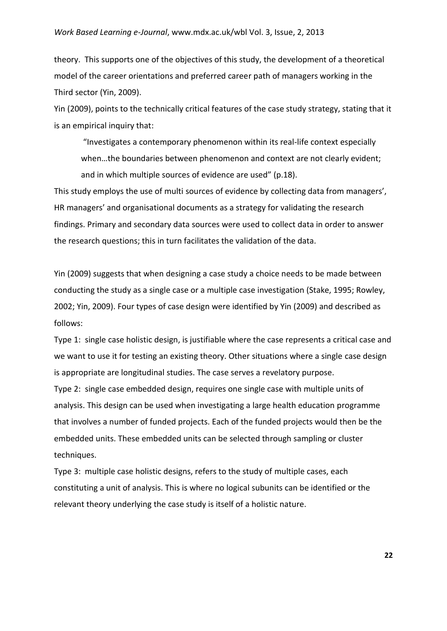theory. This supports one of the objectives of this study, the development of a theoretical model of the career orientations and preferred career path of managers working in the Third sector (Yin, 2009).

Yin (2009), points to the technically critical features of the case study strategy, stating that it is an empirical inquiry that:

"Investigates a contemporary phenomenon within its real-life context especially when…the boundaries between phenomenon and context are not clearly evident; and in which multiple sources of evidence are used" (p.18).

This study employs the use of multi sources of evidence by collecting data from managers', HR managers' and organisational documents as a strategy for validating the research findings. Primary and secondary data sources were used to collect data in order to answer the research questions; this in turn facilitates the validation of the data.

Yin (2009) suggests that when designing a case study a choice needs to be made between conducting the study as a single case or a multiple case investigation (Stake, 1995; Rowley, 2002; Yin, 2009). Four types of case design were identified by Yin (2009) and described as follows:

Type 1: single case holistic design, is justifiable where the case represents a critical case and we want to use it for testing an existing theory. Other situations where a single case design is appropriate are longitudinal studies. The case serves a revelatory purpose.

Type 2: single case embedded design, requires one single case with multiple units of analysis. This design can be used when investigating a large health education programme that involves a number of funded projects. Each of the funded projects would then be the embedded units. These embedded units can be selected through sampling or cluster techniques.

Type 3: multiple case holistic designs, refers to the study of multiple cases, each constituting a unit of analysis. This is where no logical subunits can be identified or the relevant theory underlying the case study is itself of a holistic nature.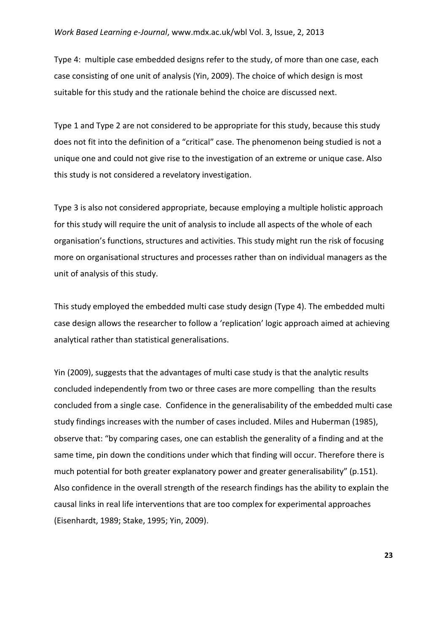Type 4: multiple case embedded designs refer to the study, of more than one case, each case consisting of one unit of analysis (Yin, 2009). The choice of which design is most suitable for this study and the rationale behind the choice are discussed next.

Type 1 and Type 2 are not considered to be appropriate for this study, because this study does not fit into the definition of a "critical" case. The phenomenon being studied is not a unique one and could not give rise to the investigation of an extreme or unique case. Also this study is not considered a revelatory investigation.

Type 3 is also not considered appropriate, because employing a multiple holistic approach for this study will require the unit of analysis to include all aspects of the whole of each organisation's functions, structures and activities. This study might run the risk of focusing more on organisational structures and processes rather than on individual managers as the unit of analysis of this study.

This study employed the embedded multi case study design (Type 4). The embedded multi case design allows the researcher to follow a 'replication' logic approach aimed at achieving analytical rather than statistical generalisations.

Yin (2009), suggests that the advantages of multi case study is that the analytic results concluded independently from two or three cases are more compelling than the results concluded from a single case. Confidence in the generalisability of the embedded multi case study findings increases with the number of cases included. Miles and Huberman (1985), observe that: "by comparing cases, one can establish the generality of a finding and at the same time, pin down the conditions under which that finding will occur. Therefore there is much potential for both greater explanatory power and greater generalisability" (p.151). Also confidence in the overall strength of the research findings has the ability to explain the causal links in real life interventions that are too complex for experimental approaches (Eisenhardt, 1989; Stake, 1995; Yin, 2009).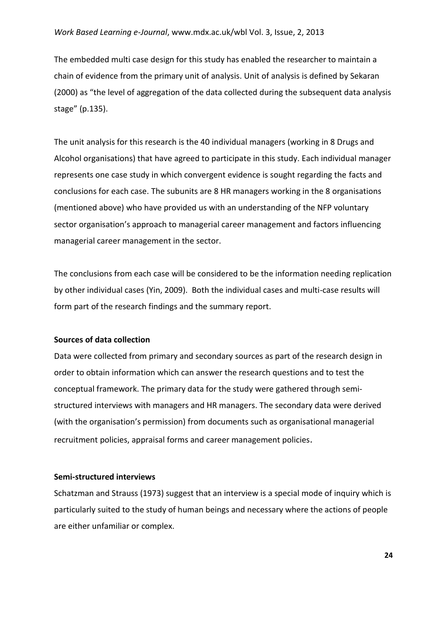The embedded multi case design for this study has enabled the researcher to maintain a chain of evidence from the primary unit of analysis. Unit of analysis is defined by Sekaran (2000) as "the level of aggregation of the data collected during the subsequent data analysis stage" (p.135).

The unit analysis for this research is the 40 individual managers (working in 8 Drugs and Alcohol organisations) that have agreed to participate in this study. Each individual manager represents one case study in which convergent evidence is sought regarding the facts and conclusions for each case. The subunits are 8 HR managers working in the 8 organisations (mentioned above) who have provided us with an understanding of the NFP voluntary sector organisation's approach to managerial career management and factors influencing managerial career management in the sector.

The conclusions from each case will be considered to be the information needing replication by other individual cases (Yin, 2009). Both the individual cases and multi-case results will form part of the research findings and the summary report.

# **Sources of data collection**

Data were collected from primary and secondary sources as part of the research design in order to obtain information which can answer the research questions and to test the conceptual framework. The primary data for the study were gathered through semistructured interviews with managers and HR managers. The secondary data were derived (with the organisation's permission) from documents such as organisational managerial recruitment policies, appraisal forms and career management policies.

#### **Semi-structured interviews**

Schatzman and Strauss (1973) suggest that an interview is a special mode of inquiry which is particularly suited to the study of human beings and necessary where the actions of people are either unfamiliar or complex.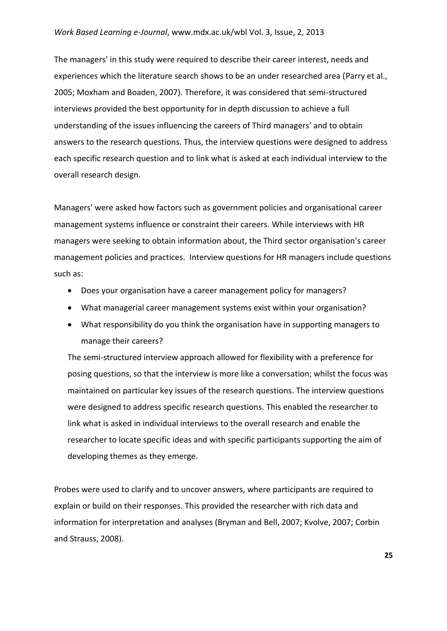### *Work Based Learning e-Journal*, www.mdx.ac.uk/wbl Vol. 3, Issue, 2, 2013

The managers' in this study were required to describe their career interest, needs and experiences which the literature search shows to be an under researched area (Parry et al., 2005; Moxham and Boaden, 2007). Therefore, it was considered that semi-structured interviews provided the best opportunity for in depth discussion to achieve a full understanding of the issues influencing the careers of Third managers' and to obtain answers to the research questions. Thus, the interview questions were designed to address each specific research question and to link what is asked at each individual interview to the overall research design.

Managers' were asked how factors such as government policies and organisational career management systems influence or constraint their careers. While interviews with HR managers were seeking to obtain information about, the Third sector organisation's career management policies and practices. Interview questions for HR managers include questions such as:

- Does your organisation have a career management policy for managers?
- What managerial career management systems exist within your organisation?
- What responsibility do you think the organisation have in supporting managers to manage their careers?

The semi-structured interview approach allowed for flexibility with a preference for posing questions, so that the interview is more like a conversation; whilst the focus was maintained on particular key issues of the research questions. The interview questions were designed to address specific research questions. This enabled the researcher to link what is asked in individual interviews to the overall research and enable the researcher to locate specific ideas and with specific participants supporting the aim of developing themes as they emerge.

Probes were used to clarify and to uncover answers, where participants are required to explain or build on their responses. This provided the researcher with rich data and information for interpretation and analyses (Bryman and Bell, 2007; Kvolve, 2007; Corbin and Strauss, 2008).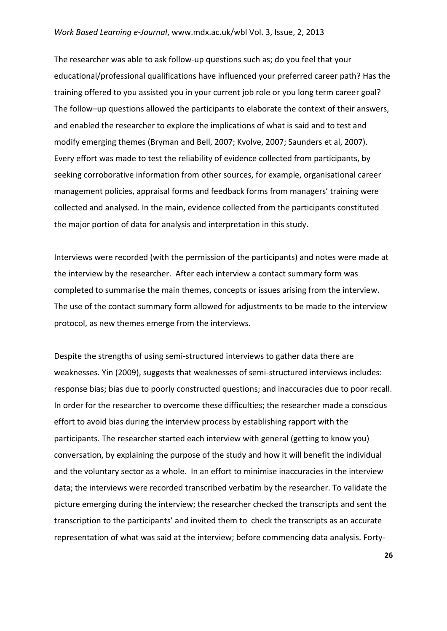#### *Work Based Learning e-Journal*, www.mdx.ac.uk/wbl Vol. 3, Issue, 2, 2013

The researcher was able to ask follow-up questions such as; do you feel that your educational/professional qualifications have influenced your preferred career path? Has the training offered to you assisted you in your current job role or you long term career goal? The follow–up questions allowed the participants to elaborate the context of their answers, and enabled the researcher to explore the implications of what is said and to test and modify emerging themes (Bryman and Bell, 2007; Kvolve, 2007; Saunders et al, 2007). Every effort was made to test the reliability of evidence collected from participants, by seeking corroborative information from other sources, for example, organisational career management policies, appraisal forms and feedback forms from managers' training were collected and analysed. In the main, evidence collected from the participants constituted the major portion of data for analysis and interpretation in this study.

Interviews were recorded (with the permission of the participants) and notes were made at the interview by the researcher. After each interview a contact summary form was completed to summarise the main themes, concepts or issues arising from the interview. The use of the contact summary form allowed for adjustments to be made to the interview protocol, as new themes emerge from the interviews.

Despite the strengths of using semi-structured interviews to gather data there are weaknesses. Yin (2009), suggests that weaknesses of semi-structured interviews includes: response bias; bias due to poorly constructed questions; and inaccuracies due to poor recall. In order for the researcher to overcome these difficulties; the researcher made a conscious effort to avoid bias during the interview process by establishing rapport with the participants. The researcher started each interview with general (getting to know you) conversation, by explaining the purpose of the study and how it will benefit the individual and the voluntary sector as a whole. In an effort to minimise inaccuracies in the interview data; the interviews were recorded transcribed verbatim by the researcher. To validate the picture emerging during the interview; the researcher checked the transcripts and sent the transcription to the participants' and invited them to check the transcripts as an accurate representation of what was said at the interview; before commencing data analysis. Forty-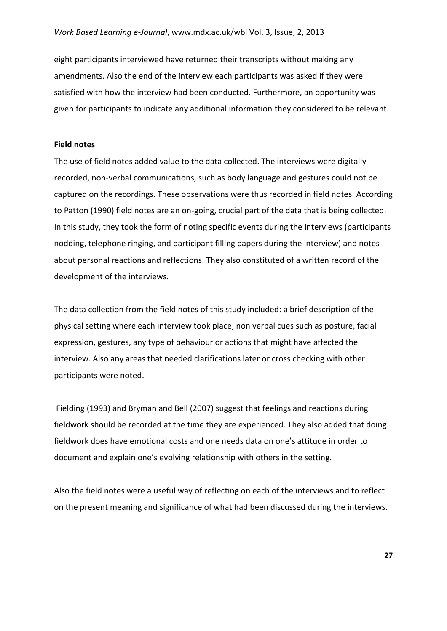eight participants interviewed have returned their transcripts without making any amendments. Also the end of the interview each participants was asked if they were satisfied with how the interview had been conducted. Furthermore, an opportunity was given for participants to indicate any additional information they considered to be relevant.

## **Field notes**

The use of field notes added value to the data collected. The interviews were digitally recorded, non-verbal communications, such as body language and gestures could not be captured on the recordings. These observations were thus recorded in field notes. According to Patton (1990) field notes are an on-going, crucial part of the data that is being collected. In this study, they took the form of noting specific events during the interviews (participants nodding, telephone ringing, and participant filling papers during the interview) and notes about personal reactions and reflections. They also constituted of a written record of the development of the interviews.

The data collection from the field notes of this study included: a brief description of the physical setting where each interview took place; non verbal cues such as posture, facial expression, gestures, any type of behaviour or actions that might have affected the interview. Also any areas that needed clarifications later or cross checking with other participants were noted.

Fielding (1993) and Bryman and Bell (2007) suggest that feelings and reactions during fieldwork should be recorded at the time they are experienced. They also added that doing fieldwork does have emotional costs and one needs data on one's attitude in order to document and explain one's evolving relationship with others in the setting.

Also the field notes were a useful way of reflecting on each of the interviews and to reflect on the present meaning and significance of what had been discussed during the interviews.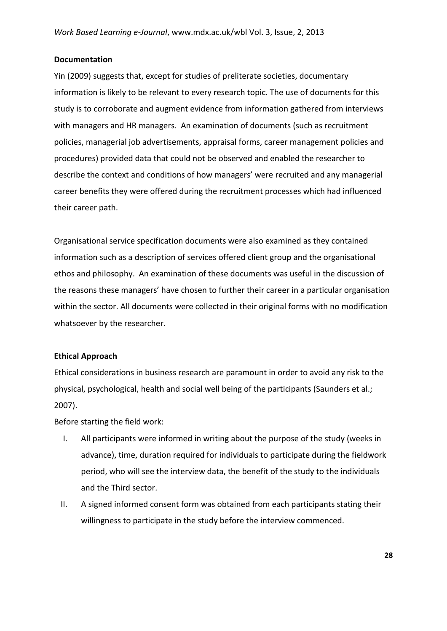## **Documentation**

Yin (2009) suggests that, except for studies of preliterate societies, documentary information is likely to be relevant to every research topic. The use of documents for this study is to corroborate and augment evidence from information gathered from interviews with managers and HR managers. An examination of documents (such as recruitment policies, managerial job advertisements, appraisal forms, career management policies and procedures) provided data that could not be observed and enabled the researcher to describe the context and conditions of how managers' were recruited and any managerial career benefits they were offered during the recruitment processes which had influenced their career path.

Organisational service specification documents were also examined as they contained information such as a description of services offered client group and the organisational ethos and philosophy. An examination of these documents was useful in the discussion of the reasons these managers' have chosen to further their career in a particular organisation within the sector. All documents were collected in their original forms with no modification whatsoever by the researcher.

## **Ethical Approach**

Ethical considerations in business research are paramount in order to avoid any risk to the physical, psychological, health and social well being of the participants (Saunders et al.; 2007).

Before starting the field work:

- I. All participants were informed in writing about the purpose of the study (weeks in advance), time, duration required for individuals to participate during the fieldwork period, who will see the interview data, the benefit of the study to the individuals and the Third sector.
- II. A signed informed consent form was obtained from each participants stating their willingness to participate in the study before the interview commenced.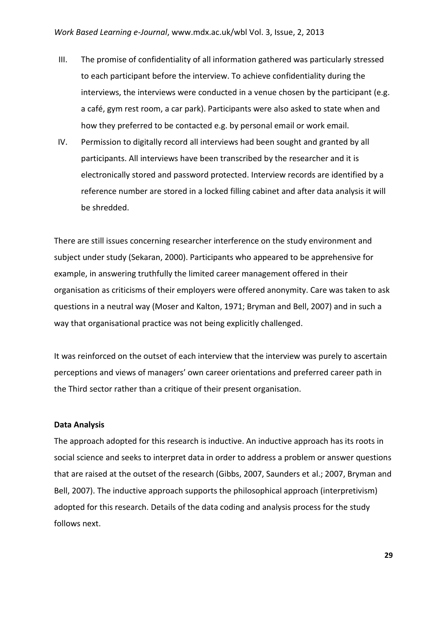- III. The promise of confidentiality of all information gathered was particularly stressed to each participant before the interview. To achieve confidentiality during the interviews, the interviews were conducted in a venue chosen by the participant (e.g. a café, gym rest room, a car park). Participants were also asked to state when and how they preferred to be contacted e.g. by personal email or work email.
- IV. Permission to digitally record all interviews had been sought and granted by all participants. All interviews have been transcribed by the researcher and it is electronically stored and password protected. Interview records are identified by a reference number are stored in a locked filling cabinet and after data analysis it will be shredded.

There are still issues concerning researcher interference on the study environment and subject under study (Sekaran, 2000). Participants who appeared to be apprehensive for example, in answering truthfully the limited career management offered in their organisation as criticisms of their employers were offered anonymity. Care was taken to ask questions in a neutral way (Moser and Kalton, 1971; Bryman and Bell, 2007) and in such a way that organisational practice was not being explicitly challenged.

It was reinforced on the outset of each interview that the interview was purely to ascertain perceptions and views of managers' own career orientations and preferred career path in the Third sector rather than a critique of their present organisation*.*

### **Data Analysis**

The approach adopted for this research is inductive. An inductive approach has its roots in social science and seeks to interpret data in order to address a problem or answer questions that are raised at the outset of the research (Gibbs, 2007, Saunders et al.; 2007, Bryman and Bell, 2007). The inductive approach supports the philosophical approach (interpretivism) adopted for this research. Details of the data coding and analysis process for the study follows next.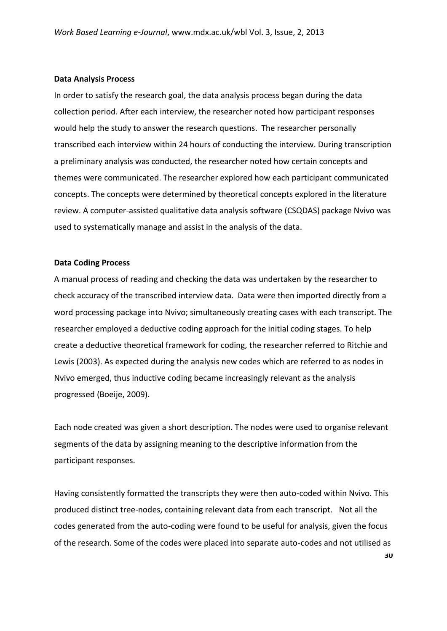#### **Data Analysis Process**

In order to satisfy the research goal, the data analysis process began during the data collection period. After each interview, the researcher noted how participant responses would help the study to answer the research questions. The researcher personally transcribed each interview within 24 hours of conducting the interview. During transcription a preliminary analysis was conducted, the researcher noted how certain concepts and themes were communicated. The researcher explored how each participant communicated concepts. The concepts were determined by theoretical concepts explored in the literature review. A computer-assisted qualitative data analysis software (CSQDAS) package Nvivo was used to systematically manage and assist in the analysis of the data.

#### **Data Coding Process**

A manual process of reading and checking the data was undertaken by the researcher to check accuracy of the transcribed interview data. Data were then imported directly from a word processing package into Nvivo; simultaneously creating cases with each transcript. The researcher employed a deductive coding approach for the initial coding stages. To help create a deductive theoretical framework for coding, the researcher referred to Ritchie and Lewis (2003). As expected during the analysis new codes which are referred to as nodes in Nvivo emerged, thus inductive coding became increasingly relevant as the analysis progressed (Boeije, 2009).

Each node created was given a short description. The nodes were used to organise relevant segments of the data by assigning meaning to the descriptive information from the participant responses.

Having consistently formatted the transcripts they were then auto-coded within Nvivo. This produced distinct tree-nodes, containing relevant data from each transcript. Not all the codes generated from the auto-coding were found to be useful for analysis, given the focus of the research. Some of the codes were placed into separate auto-codes and not utilised as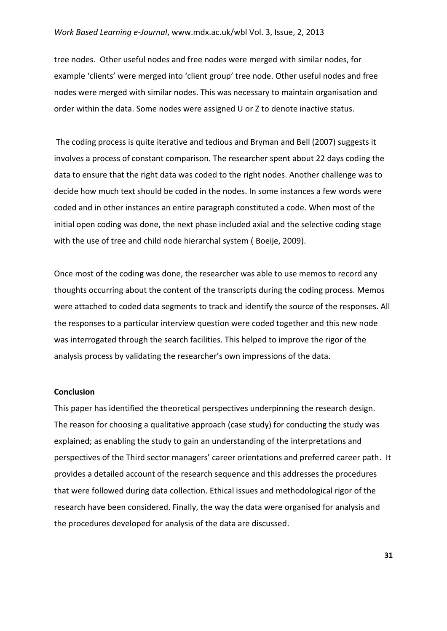#### *Work Based Learning e-Journal*, www.mdx.ac.uk/wbl Vol. 3, Issue, 2, 2013

tree nodes. Other useful nodes and free nodes were merged with similar nodes, for example 'clients' were merged into 'client group' tree node. Other useful nodes and free nodes were merged with similar nodes. This was necessary to maintain organisation and order within the data. Some nodes were assigned U or Z to denote inactive status.

The coding process is quite iterative and tedious and Bryman and Bell (2007) suggests it involves a process of constant comparison. The researcher spent about 22 days coding the data to ensure that the right data was coded to the right nodes. Another challenge was to decide how much text should be coded in the nodes. In some instances a few words were coded and in other instances an entire paragraph constituted a code. When most of the initial open coding was done, the next phase included axial and the selective coding stage with the use of tree and child node hierarchal system ( Boeije, 2009).

Once most of the coding was done, the researcher was able to use memos to record any thoughts occurring about the content of the transcripts during the coding process. Memos were attached to coded data segments to track and identify the source of the responses. All the responses to a particular interview question were coded together and this new node was interrogated through the search facilities. This helped to improve the rigor of the analysis process by validating the researcher's own impressions of the data.

#### **Conclusion**

This paper has identified the theoretical perspectives underpinning the research design. The reason for choosing a qualitative approach (case study) for conducting the study was explained; as enabling the study to gain an understanding of the interpretations and perspectives of the Third sector managers' career orientations and preferred career path. It provides a detailed account of the research sequence and this addresses the procedures that were followed during data collection. Ethical issues and methodological rigor of the research have been considered. Finally, the way the data were organised for analysis and the procedures developed for analysis of the data are discussed.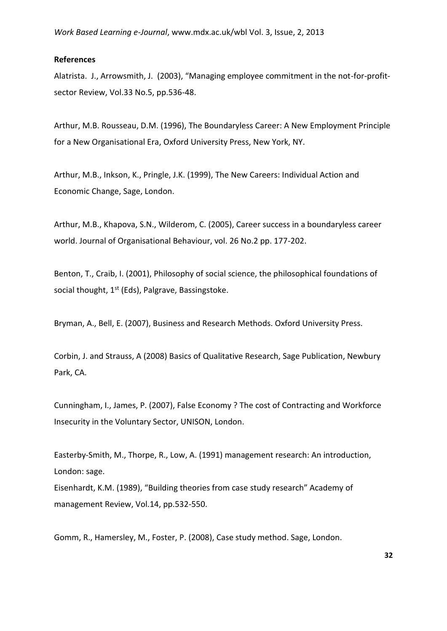#### **References**

Alatrista. J., Arrowsmith, J. (2003), "Managing employee commitment in the not-for-profitsector Review, Vol.33 No.5, pp.536-48.

Arthur, M.B. Rousseau, D.M. (1996), The Boundaryless Career: A New Employment Principle for a New Organisational Era, Oxford University Press, New York, NY.

Arthur, M.B., Inkson, K., Pringle, J.K. (1999), The New Careers: Individual Action and Economic Change, Sage, London.

Arthur, M.B., Khapova, S.N., Wilderom, C. (2005), Career success in a boundaryless career world. Journal of Organisational Behaviour, vol. 26 No.2 pp. 177-202.

Benton, T., Craib, I. (2001), Philosophy of social science, the philosophical foundations of social thought, 1<sup>st</sup> (Eds), Palgrave, Bassingstoke.

Bryman, A., Bell, E. (2007), Business and Research Methods. Oxford University Press.

Corbin, J. and Strauss, A (2008) Basics of Qualitative Research, Sage Publication, Newbury Park, CA.

Cunningham, I., James, P. (2007), False Economy ? The cost of Contracting and Workforce Insecurity in the Voluntary Sector, UNISON, London.

Easterby-Smith, M., Thorpe, R., Low, A. (1991) management research: An introduction, London: sage.

Eisenhardt, K.M. (1989), "Building theories from case study research" Academy of management Review, Vol.14, pp.532-550.

Gomm, R., Hamersley, M., Foster, P. (2008), Case study method. Sage, London.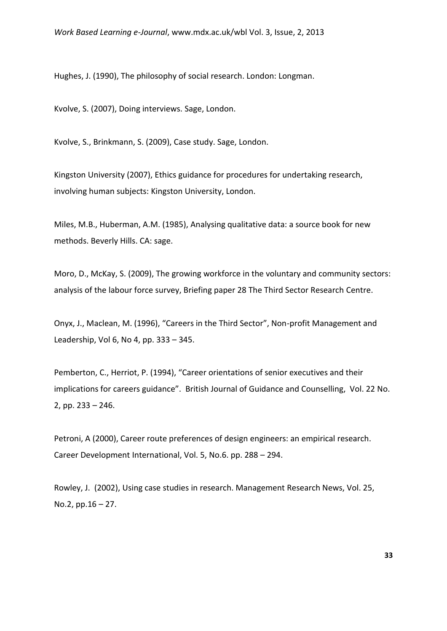Hughes, J. (1990), The philosophy of social research. London: Longman.

Kvolve, S. (2007), Doing interviews. Sage, London.

Kvolve, S., Brinkmann, S. (2009), Case study. Sage, London.

Kingston University (2007), Ethics guidance for procedures for undertaking research, involving human subjects: Kingston University, London.

Miles, M.B., Huberman, A.M. (1985), Analysing qualitative data: a source book for new methods. Beverly Hills. CA: sage.

Moro, D., McKay, S. (2009), The growing workforce in the voluntary and community sectors: analysis of the labour force survey, Briefing paper 28 The Third Sector Research Centre.

Onyx, J., Maclean, M. (1996), "Careers in the Third Sector", Non-profit Management and Leadership, Vol 6, No 4, pp. 333 – 345.

Pemberton, C., Herriot, P. (1994), "Career orientations of senior executives and their implications for careers guidance". British Journal of Guidance and Counselling, Vol. 22 No. 2, pp. 233 – 246.

Petroni, A (2000), Career route preferences of design engineers: an empirical research. Career Development International, Vol. 5, No.6. pp. 288 – 294.

Rowley, J. (2002), Using case studies in research. Management Research News, Vol. 25, No.2, pp.16 – 27.